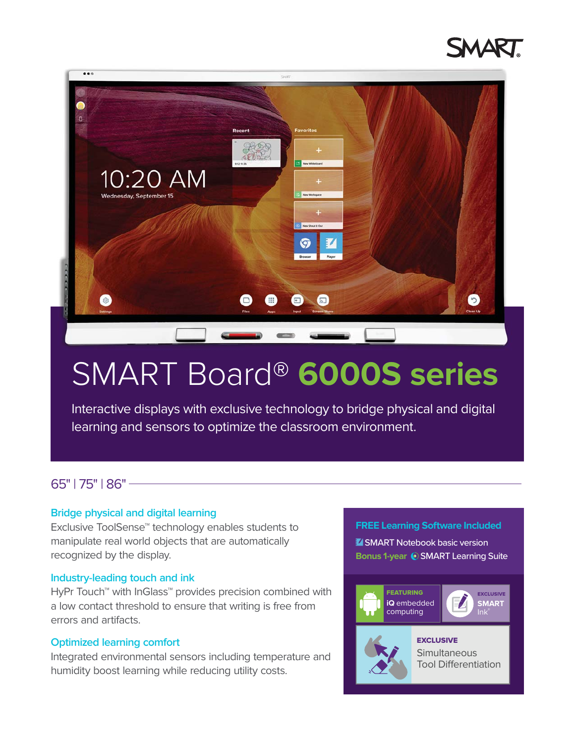



# SMART Board® **6000S series**

Interactive displays with exclusive technology to bridge physical and digital learning and sensors to optimize the classroom environment.

#### 65" | 75" | 86"

#### **Bridge physical and digital learning**

Exclusive ToolSense™ technology enables students to manipulate real world objects that are automatically recognized by the display.

#### **Industry-leading touch and ink**

HyPr Touch™ with InGlass™ provides precision combined with a low contact threshold to ensure that writing is free from errors and artifacts.

#### **Optimized learning comfort**

Integrated environmental sensors including temperature and humidity boost learning while reducing utility costs.

#### **FREE Learning Software Included**

**Z** SMART Notebook basic version **Bonus 1-year © SMART Learning Suite** 

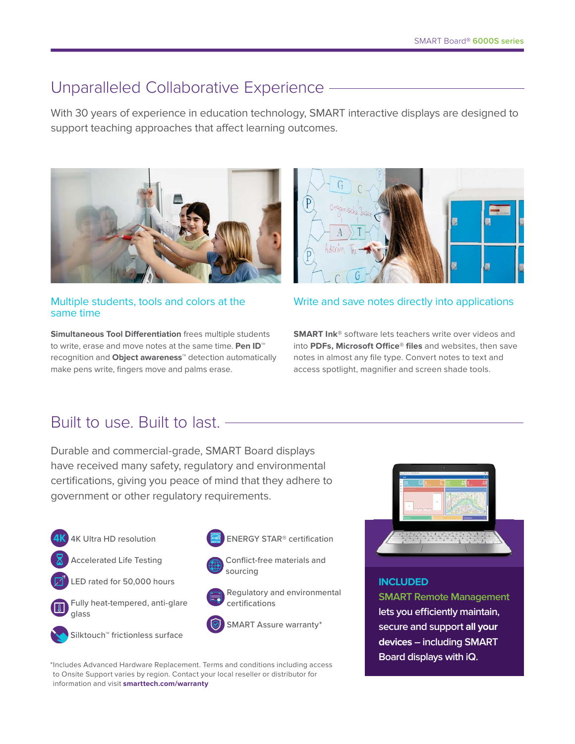# Unparalleled Collaborative Experience

With 30 years of experience in education technology, SMART interactive displays are designed to support teaching approaches that affect learning outcomes.



#### Multiple students, tools and colors at the same time

**Simultaneous Tool Differentiation** frees multiple students to write, erase and move notes at the same time. **Pen ID**™ recognition and **Object awareness**™ detection automatically make pens write, fingers move and palms erase.



#### Write and save notes directly into applications

**SMART Ink®** software lets teachers write over videos and into **PDFs, Microsoft Office® files** and websites, then save notes in almost any file type. Convert notes to text and access spotlight, magnifier and screen shade tools.

# Built to use. Built to last.

Durable and commercial-grade, SMART Board displays have received many safety, regulatory and environmental certifications, giving you peace of mind that they adhere to government or other regulatory requirements.

- 4K Ultra HD resolution
- Accelerated Life Testing
- LED rated for 50,000 hours





 Silktouch™ frictionless surface







  Regulatory and environmental certifications



**INCLUDED SMART Remote Management lets you efficiently maintain, secure and support all your devices – including SMART Board displays with iQ.**

\* Includes Advanced Hardware Replacement. Terms and conditions including access to Onsite Support varies by region. Contact your local reseller or distributor for information and visit **smarttech.com/warranty**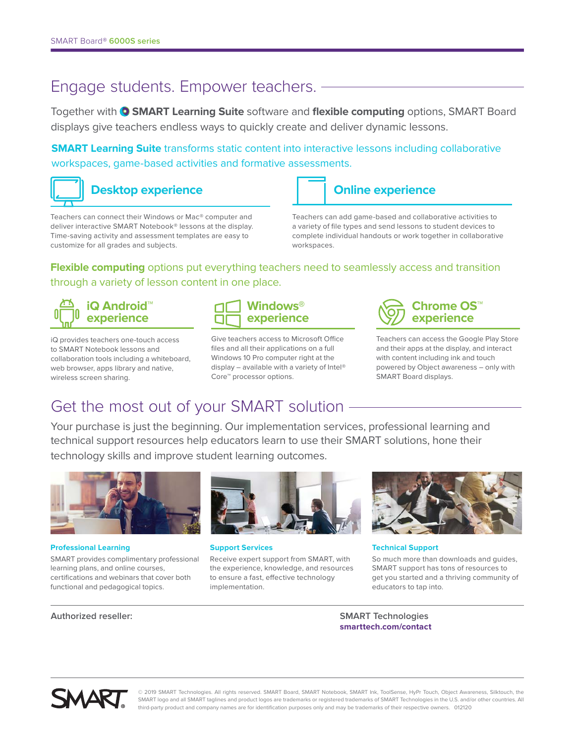## Engage students. Empower teachers.

Together with **SMART Learning Suite** software and **flexible computing** options, SMART Board displays give teachers endless ways to quickly create and deliver dynamic lessons.

**SMART Learning Suite** transforms static content into interactive lessons including collaborative workspaces, game-based activities and formative assessments.



Teachers can connect their Windows or Mac® computer and deliver interactive SMART Notebook® lessons at the display. Time-saving activity and assessment templates are easy to customize for all grades and subjects.



Teachers can add game-based and collaborative activities to a variety of file types and send lessons to student devices to complete individual handouts or work together in collaborative workspaces.

### **Flexible computing** options put everything teachers need to seamlessly access and transition through a variety of lesson content in one place.



iQ provides teachers one-touch access to SMART Notebook lessons and collaboration tools including a whiteboard, web browser, apps library and native, wireless screen sharing.



Give teachers access to Microsoft Office files and all their applications on a full Windows 10 Pro computer right at the display – available with a variety of Intel® Core™ processor options.



Teachers can access the Google Play Store and their apps at the display, and interact with content including ink and touch powered by Object awareness – only with SMART Board displays.

# Get the most out of your SMART solution

Your purchase is just the beginning. Our implementation services, professional learning and technical support resources help educators learn to use their SMART solutions, hone their technology skills and improve student learning outcomes.



#### **Professional Learning**

SMART provides complimentary professional learning plans, and online courses, certifications and webinars that cover both functional and pedagogical topics.



**Support Services**

Receive expert support from SMART, with the experience, knowledge, and resources to ensure a fast, effective technology implementation.



**Technical Support**

So much more than downloads and guides, SMART support has tons of resources to get you started and a thriving community of educators to tap into.

#### **Authorized reseller: SMART Technologies**

**smarttech.com/contact**



© 2019 SMART Technologies. All rights reserved. SMART Board, SMART Notebook, SMART Ink, ToolSense, HyPr Touch, Object Awareness, Silktouch, the SMART logo and all SMART taglines and product logos are trademarks or registered trademarks of SMART Technologies in the U.S. and/or other countries. All third-party product and company names are for identification purposes only and may be trademarks of their respective owners. 012120